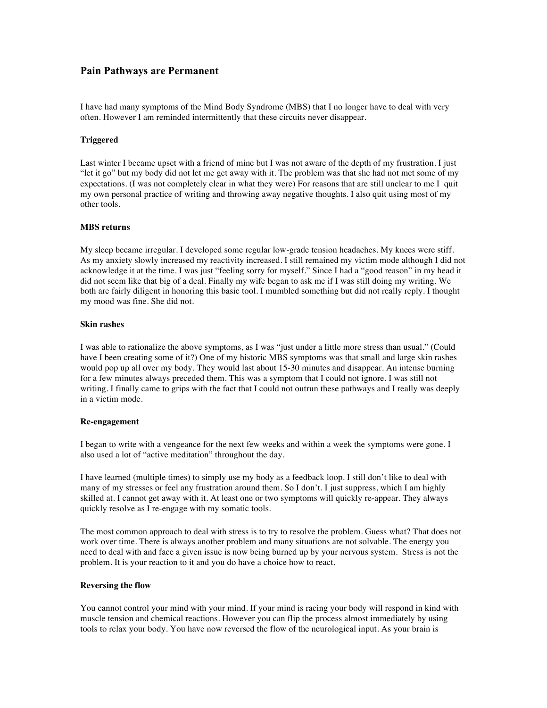# **Pain Pathways are Permanent**

I have had many symptoms of the Mind Body Syndrome (MBS) that I no longer have to deal with very often. However I am reminded intermittently that these circuits never disappear.

#### **Triggered**

Last winter I became upset with a friend of mine but I was not aware of the depth of my frustration. I just "let it go" but my body did not let me get away with it. The problem was that she had not met some of my expectations. (I was not completely clear in what they were) For reasons that are still unclear to me I quit my own personal practice of writing and throwing away negative thoughts. I also quit using most of my other tools.

### **MBS returns**

My sleep became irregular. I developed some regular low-grade tension headaches. My knees were stiff. As my anxiety slowly increased my reactivity increased. I still remained my victim mode although I did not acknowledge it at the time. I was just "feeling sorry for myself." Since I had a "good reason" in my head it did not seem like that big of a deal. Finally my wife began to ask me if I was still doing my writing. We both are fairly diligent in honoring this basic tool. I mumbled something but did not really reply. I thought my mood was fine. She did not.

### **Skin rashes**

I was able to rationalize the above symptoms, as I was "just under a little more stress than usual." (Could have I been creating some of it?) One of my historic MBS symptoms was that small and large skin rashes would pop up all over my body. They would last about 15-30 minutes and disappear. An intense burning for a few minutes always preceded them. This was a symptom that I could not ignore. I was still not writing. I finally came to grips with the fact that I could not outrun these pathways and I really was deeply in a victim mode.

#### **Re-engagement**

I began to write with a vengeance for the next few weeks and within a week the symptoms were gone. I also used a lot of "active meditation" throughout the day.

I have learned (multiple times) to simply use my body as a feedback loop. I still don't like to deal with many of my stresses or feel any frustration around them. So I don't. I just suppress, which I am highly skilled at. I cannot get away with it. At least one or two symptoms will quickly re-appear. They always quickly resolve as I re-engage with my somatic tools.

The most common approach to deal with stress is to try to resolve the problem. Guess what? That does not work over time. There is always another problem and many situations are not solvable. The energy you need to deal with and face a given issue is now being burned up by your nervous system. Stress is not the problem. It is your reaction to it and you do have a choice how to react.

#### **Reversing the flow**

You cannot control your mind with your mind. If your mind is racing your body will respond in kind with muscle tension and chemical reactions. However you can flip the process almost immediately by using tools to relax your body. You have now reversed the flow of the neurological input. As your brain is